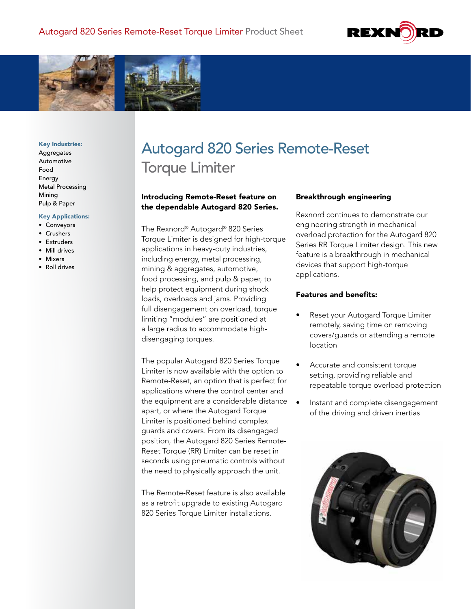



#### Key Industries:

Aggregates Automotive Food Energy Metal Processing Mining Pulp & Paper

#### Key Applications:

- Conveyors
- Crushers
- Extruders
- Mill drives
- Mixers
- Roll drives

# Autogard 820 Series Remote-Reset Torque Limiter

## Introducing Remote-Reset feature on the dependable Autogard 820 Series.

The Rexnord® Autogard® 820 Series Torque Limiter is designed for high-torque applications in heavy-duty industries, including energy, metal processing, mining & aggregates, automotive, food processing, and pulp & paper, to help protect equipment during shock loads, overloads and jams. Providing full disengagement on overload, torque limiting "modules" are positioned at a large radius to accommodate highdisengaging torques.

The popular Autogard 820 Series Torque Limiter is now available with the option to Remote-Reset, an option that is perfect for applications where the control center and the equipment are a considerable distance • apart, or where the Autogard Torque Limiter is positioned behind complex guards and covers. From its disengaged position, the Autogard 820 Series Remote-Reset Torque (RR) Limiter can be reset in seconds using pneumatic controls without the need to physically approach the unit.

The Remote-Reset feature is also available as a retrofit upgrade to existing Autogard 820 Series Torque Limiter installations.

## Breakthrough engineering

Rexnord continues to demonstrate our engineering strength in mechanical overload protection for the Autogard 820 Series RR Torque Limiter design. This new feature is a breakthrough in mechanical devices that support high-torque applications.

## Features and benefits:

- Reset your Autogard Torque Limiter remotely, saving time on removing covers/guards or attending a remote location
- Accurate and consistent torque setting, providing reliable and repeatable torque overload protection
- Instant and complete disengagement of the driving and driven inertias